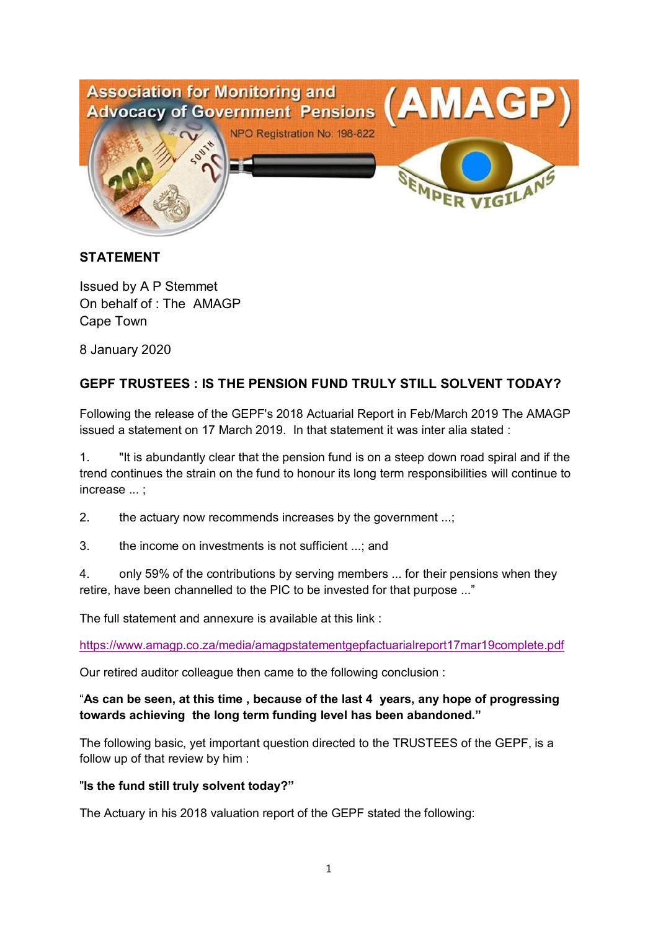

## **STATEMENT**

Issued by A P Stemmet On behalf of : The AMAGP Cape Town

8 January 2020

# **GEPF TRUSTEES : IS THE PENSION FUND TRULY STILL SOLVENT TODAY?**

Following the release of the GEPF's 2018 Actuarial Report in Feb/March 2019 The AMAGP issued a statement on 17 March 2019. In that statement it was inter alia stated :

1. "It is abundantly clear that the pension fund is on a steep down road spiral and if the trend continues the strain on the fund to honour its long term responsibilities will continue to increase ... ;

2. the actuary now recommends increases by the government ...;

3. the income on investments is not sufficient ...; and

4. only 59% of the contributions by serving members ... for their pensions when they retire, have been channelled to the PIC to be invested for that purpose ..."

The full statement and annexure is available at this link :

https://www.amagp.co.za/media/amagpstatementgepfactuarialreport17mar19complete.pdf

Our retired auditor colleague then came to the following conclusion :

## "**As can be seen, at this time , because of the last 4 years, any hope of progressing towards achieving the long term funding level has been abandoned."**

The following basic, yet important question directed to the TRUSTEES of the GEPF, is a follow up of that review by him :

#### "**Is the fund still truly solvent today?"**

The Actuary in his 2018 valuation report of the GEPF stated the following: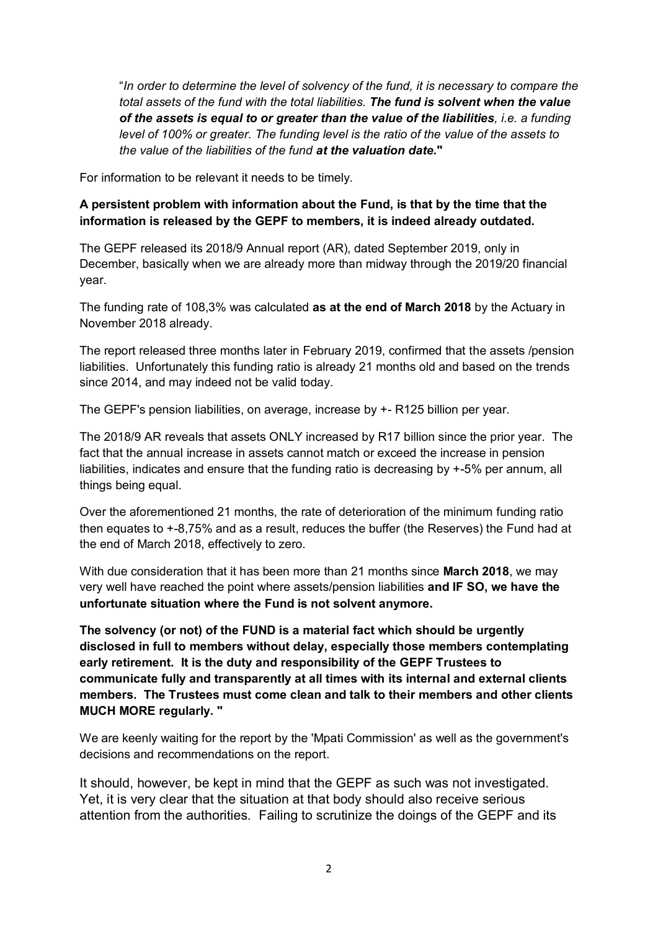"*In order to determine the level of solvency of the fund, it is necessary to compare the total assets of the fund with the total liabilities. The fund is solvent when the value of the assets is equal to or greater than the value of the liabilities, i.e. a funding level of 100% or greater. The funding level is the ratio of the value of the assets to the value of the liabilities of the fund at the valuation date.***"**

For information to be relevant it needs to be timely.

## **A persistent problem with information about the Fund, is that by the time that the information is released by the GEPF to members, it is indeed already outdated.**

The GEPF released its 2018/9 Annual report (AR), dated September 2019, only in December, basically when we are already more than midway through the 2019/20 financial year.

The funding rate of 108,3% was calculated **as at the end of March 2018** by the Actuary in November 2018 already.

The report released three months later in February 2019, confirmed that the assets /pension liabilities. Unfortunately this funding ratio is already 21 months old and based on the trends since 2014, and may indeed not be valid today.

The GEPF's pension liabilities, on average, increase by +- R125 billion per year.

The 2018/9 AR reveals that assets ONLY increased by R17 billion since the prior year. The fact that the annual increase in assets cannot match or exceed the increase in pension liabilities, indicates and ensure that the funding ratio is decreasing by +-5% per annum, all things being equal.

Over the aforementioned 21 months, the rate of deterioration of the minimum funding ratio then equates to +-8,75% and as a result, reduces the buffer (the Reserves) the Fund had at the end of March 2018, effectively to zero.

With due consideration that it has been more than 21 months since **March 2018**, we may very well have reached the point where assets/pension liabilities **and IF SO, we have the unfortunate situation where the Fund is not solvent anymore.**

**The solvency (or not) of the FUND is a material fact which should be urgently disclosed in full to members without delay, especially those members contemplating early retirement. It is the duty and responsibility of the GEPF Trustees to communicate fully and transparently at all times with its internal and external clients members. The Trustees must come clean and talk to their members and other clients MUCH MORE regularly. "**

We are keenly waiting for the report by the 'Mpati Commission' as well as the government's decisions and recommendations on the report.

It should, however, be kept in mind that the GEPF as such was not investigated. Yet, it is very clear that the situation at that body should also receive serious attention from the authorities. Failing to scrutinize the doings of the GEPF and its